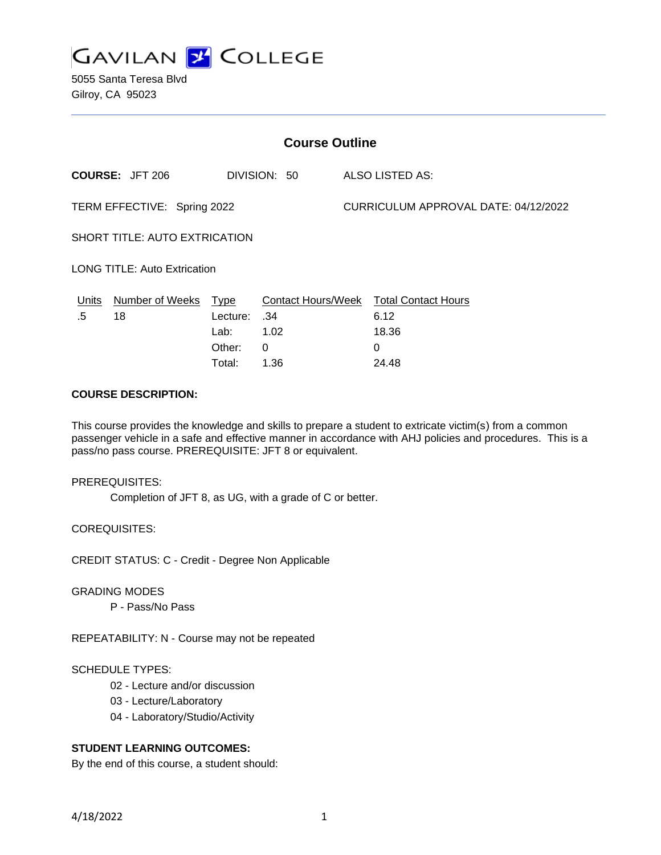

| <b>Course Outline</b>                  |                 |          |                 |                                      |                                        |
|----------------------------------------|-----------------|----------|-----------------|--------------------------------------|----------------------------------------|
| <b>COURSE: JFT 206</b><br>DIVISION: 50 |                 |          | ALSO LISTED AS: |                                      |                                        |
| TERM EFFECTIVE: Spring 2022            |                 |          |                 | CURRICULUM APPROVAL DATE: 04/12/2022 |                                        |
| SHORT TITLE: AUTO EXTRICATION          |                 |          |                 |                                      |                                        |
| <b>LONG TITLE: Auto Extrication</b>    |                 |          |                 |                                      |                                        |
| Units                                  | Number of Weeks | Type     |                 |                                      | Contact Hours/Week Total Contact Hours |
| .5                                     | 18              | Lecture: | .34             |                                      | 6.12                                   |
|                                        |                 | Lab:     | 1.02            |                                      | 18.36                                  |
|                                        |                 | Other:   | 0               |                                      | 0                                      |
|                                        |                 | Total:   | 1.36            |                                      | 24.48                                  |

#### **COURSE DESCRIPTION:**

This course provides the knowledge and skills to prepare a student to extricate victim(s) from a common passenger vehicle in a safe and effective manner in accordance with AHJ policies and procedures. This is a pass/no pass course. PREREQUISITE: JFT 8 or equivalent.

#### PREREQUISITES:

Completion of JFT 8, as UG, with a grade of C or better.

COREQUISITES:

CREDIT STATUS: C - Credit - Degree Non Applicable

#### GRADING MODES

P - Pass/No Pass

REPEATABILITY: N - Course may not be repeated

#### SCHEDULE TYPES:

- 02 Lecture and/or discussion
- 03 Lecture/Laboratory
- 04 Laboratory/Studio/Activity

### **STUDENT LEARNING OUTCOMES:**

By the end of this course, a student should: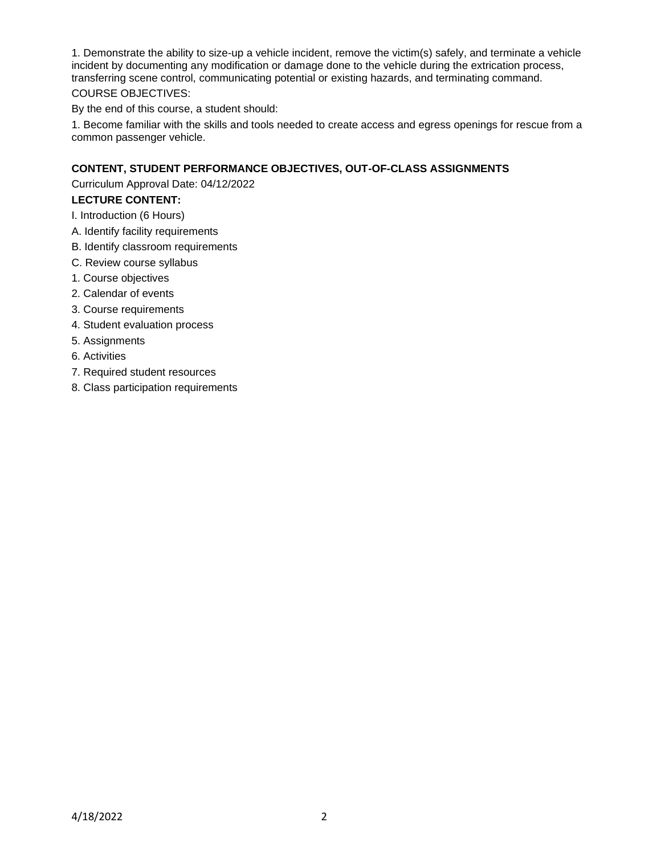1. Demonstrate the ability to size-up a vehicle incident, remove the victim(s) safely, and terminate a vehicle incident by documenting any modification or damage done to the vehicle during the extrication process, transferring scene control, communicating potential or existing hazards, and terminating command. COURSE OBJECTIVES:

By the end of this course, a student should:

1. Become familiar with the skills and tools needed to create access and egress openings for rescue from a common passenger vehicle.

# **CONTENT, STUDENT PERFORMANCE OBJECTIVES, OUT-OF-CLASS ASSIGNMENTS**

Curriculum Approval Date: 04/12/2022

# **LECTURE CONTENT:**

- I. Introduction (6 Hours)
- A. Identify facility requirements
- B. Identify classroom requirements
- C. Review course syllabus
- 1. Course objectives
- 2. Calendar of events
- 3. Course requirements
- 4. Student evaluation process
- 5. Assignments
- 6. Activities
- 7. Required student resources
- 8. Class participation requirements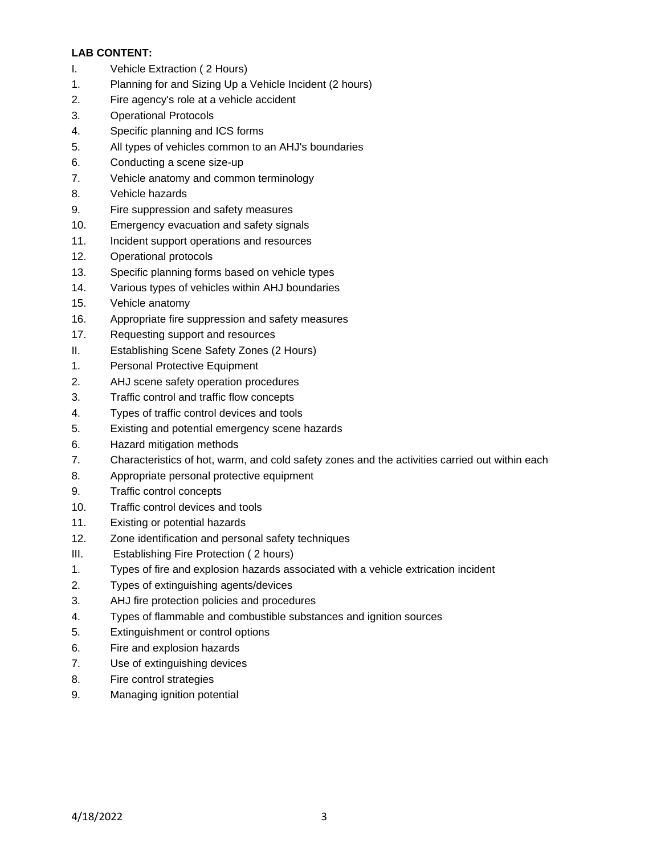# **LAB CONTENT:**

- I. Vehicle Extraction ( 2 Hours)
- 1. Planning for and Sizing Up a Vehicle Incident (2 hours)
- 2. Fire agency's role at a vehicle accident
- 3. Operational Protocols
- 4. Specific planning and ICS forms
- 5. All types of vehicles common to an AHJ's boundaries
- 6. Conducting a scene size-up
- 7. Vehicle anatomy and common terminology
- 8. Vehicle hazards
- 9. Fire suppression and safety measures
- 10. Emergency evacuation and safety signals
- 11. Incident support operations and resources
- 12. Operational protocols
- 13. Specific planning forms based on vehicle types
- 14. Various types of vehicles within AHJ boundaries
- 15. Vehicle anatomy
- 16. Appropriate fire suppression and safety measures
- 17. Requesting support and resources
- II. Establishing Scene Safety Zones (2 Hours)
- 1. Personal Protective Equipment
- 2. AHJ scene safety operation procedures
- 3. Traffic control and traffic flow concepts
- 4. Types of traffic control devices and tools
- 5. Existing and potential emergency scene hazards
- 6. Hazard mitigation methods
- 7. Characteristics of hot, warm, and cold safety zones and the activities carried out within each
- 8. Appropriate personal protective equipment
- 9. Traffic control concepts
- 10. Traffic control devices and tools
- 11. Existing or potential hazards
- 12. Zone identification and personal safety techniques
- III. Establishing Fire Protection ( 2 hours)
- 1. Types of fire and explosion hazards associated with a vehicle extrication incident
- 2. Types of extinguishing agents/devices
- 3. AHJ fire protection policies and procedures
- 4. Types of flammable and combustible substances and ignition sources
- 5. Extinguishment or control options
- 6. Fire and explosion hazards
- 7. Use of extinguishing devices
- 8. Fire control strategies
- 9. Managing ignition potential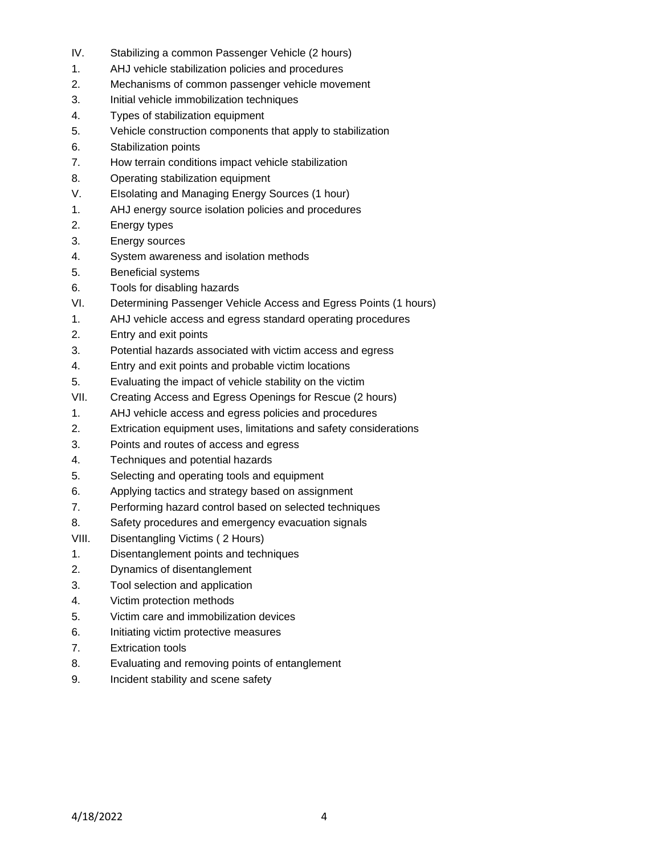- IV. Stabilizing a common Passenger Vehicle (2 hours)
- 1. AHJ vehicle stabilization policies and procedures
- 2. Mechanisms of common passenger vehicle movement
- 3. Initial vehicle immobilization techniques
- 4. Types of stabilization equipment
- 5. Vehicle construction components that apply to stabilization
- 6. Stabilization points
- 7. How terrain conditions impact vehicle stabilization
- 8. Operating stabilization equipment
- V. EIsolating and Managing Energy Sources (1 hour)
- 1. AHJ energy source isolation policies and procedures
- 2. Energy types
- 3. Energy sources
- 4. System awareness and isolation methods
- 5. Beneficial systems
- 6. Tools for disabling hazards
- VI. Determining Passenger Vehicle Access and Egress Points (1 hours)
- 1. AHJ vehicle access and egress standard operating procedures
- 2. Entry and exit points
- 3. Potential hazards associated with victim access and egress
- 4. Entry and exit points and probable victim locations
- 5. Evaluating the impact of vehicle stability on the victim
- VII. Creating Access and Egress Openings for Rescue (2 hours)
- 1. AHJ vehicle access and egress policies and procedures
- 2. Extrication equipment uses, limitations and safety considerations
- 3. Points and routes of access and egress
- 4. Techniques and potential hazards
- 5. Selecting and operating tools and equipment
- 6. Applying tactics and strategy based on assignment
- 7. Performing hazard control based on selected techniques
- 8. Safety procedures and emergency evacuation signals
- VIII. Disentangling Victims ( 2 Hours)
- 1. Disentanglement points and techniques
- 2. Dynamics of disentanglement
- 3. Tool selection and application
- 4. Victim protection methods
- 5. Victim care and immobilization devices
- 6. Initiating victim protective measures
- 7. Extrication tools
- 8. Evaluating and removing points of entanglement
- 9. Incident stability and scene safety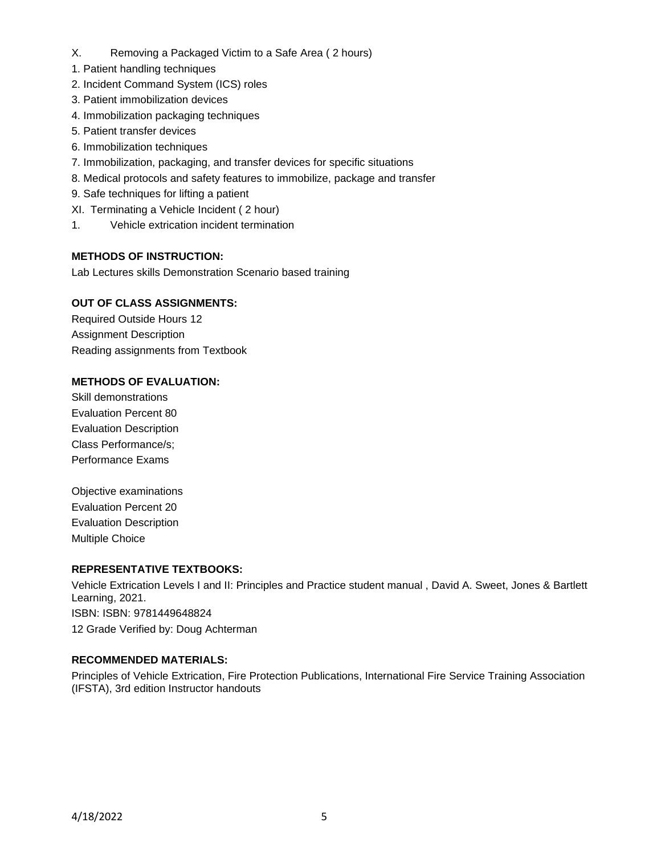- X. Removing a Packaged Victim to a Safe Area ( 2 hours)
- 1. Patient handling techniques
- 2. Incident Command System (ICS) roles
- 3. Patient immobilization devices
- 4. Immobilization packaging techniques
- 5. Patient transfer devices
- 6. Immobilization techniques
- 7. Immobilization, packaging, and transfer devices for specific situations
- 8. Medical protocols and safety features to immobilize, package and transfer
- 9. Safe techniques for lifting a patient
- XI. Terminating a Vehicle Incident ( 2 hour)
- 1. Vehicle extrication incident termination

# **METHODS OF INSTRUCTION:**

Lab Lectures skills Demonstration Scenario based training

# **OUT OF CLASS ASSIGNMENTS:**

Required Outside Hours 12 Assignment Description Reading assignments from Textbook

### **METHODS OF EVALUATION:**

Skill demonstrations Evaluation Percent 80 Evaluation Description Class Performance/s; Performance Exams

Objective examinations Evaluation Percent 20 Evaluation Description Multiple Choice

### **REPRESENTATIVE TEXTBOOKS:**

Vehicle Extrication Levels I and II: Principles and Practice student manual , David A. Sweet, Jones & Bartlett Learning, 2021. ISBN: ISBN: 9781449648824 12 Grade Verified by: Doug Achterman

### **RECOMMENDED MATERIALS:**

Principles of Vehicle Extrication, Fire Protection Publications, International Fire Service Training Association (IFSTA), 3rd edition Instructor handouts